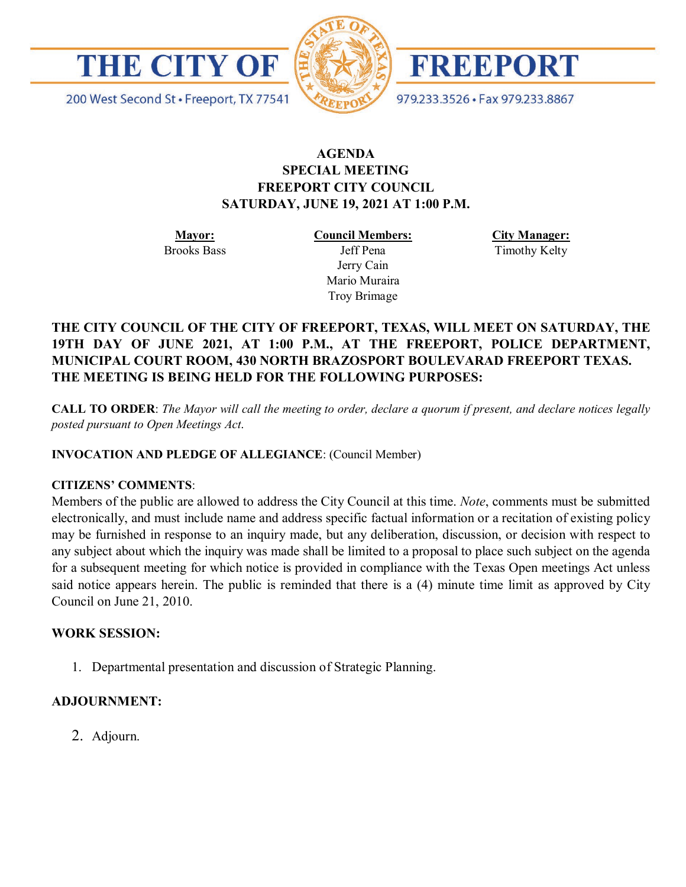



FREEPORT

200 West Second St · Freeport, TX 77541

979.233.3526 · Fax 979.233.8867

## **AGENDA SPECIAL MEETING FREEPORT CITY COUNCIL SATURDAY, JUNE 19, 2021 AT 1:00 P.M.**

**Mayor:** Brooks Bass **Council Members:** Jeff Pena Jerry Cain Mario Muraira Troy Brimage

**City Manager:** Timothy Kelty

# **THE CITY COUNCIL OF THE CITY OF FREEPORT, TEXAS, WILL MEET ON SATURDAY, THE 19TH DAY OF JUNE 2021, AT 1:00 P.M., AT THE FREEPORT, POLICE DEPARTMENT, MUNICIPAL COURT ROOM, 430 NORTH BRAZOSPORT BOULEVARAD FREEPORT TEXAS. THE MEETING IS BEING HELD FOR THE FOLLOWING PURPOSES:**

**CALL TO ORDER**: *The Mayor will call the meeting to order, declare a quorum if present, and declare notices legally posted pursuant to Open Meetings Act*.

**INVOCATION AND PLEDGE OF ALLEGIANCE**: (Council Member)

#### **CITIZENS' COMMENTS**:

Members of the public are allowed to address the City Council at this time. *Note*, comments must be submitted electronically, and must include name and address specific factual information or a recitation of existing policy may be furnished in response to an inquiry made, but any deliberation, discussion, or decision with respect to any subject about which the inquiry was made shall be limited to a proposal to place such subject on the agenda for a subsequent meeting for which notice is provided in compliance with the Texas Open meetings Act unless said notice appears herein. The public is reminded that there is a (4) minute time limit as approved by City Council on June 21, 2010.

### **WORK SESSION:**

1. Departmental presentation and discussion of Strategic Planning.

#### **ADJOURNMENT:**

2. Adjourn.